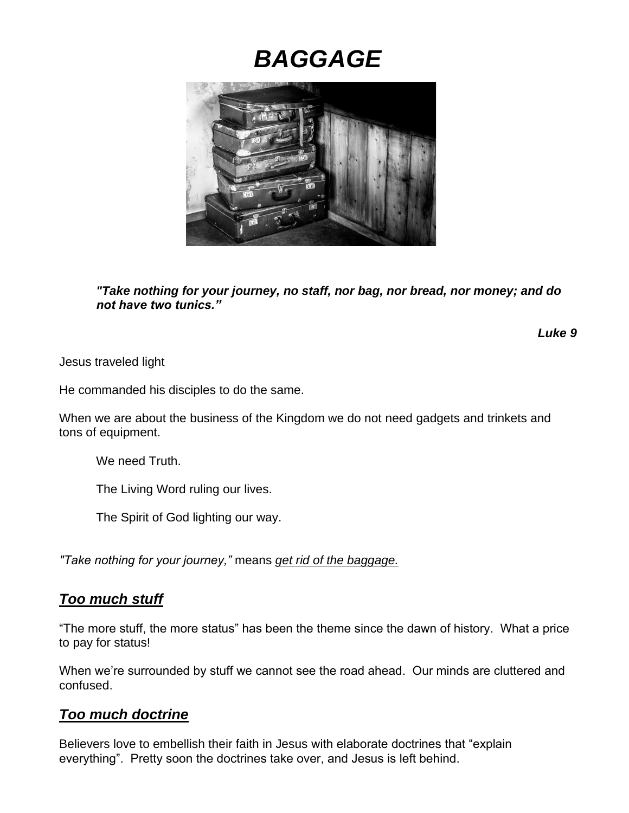# *BAGGAGE*



*"Take nothing for your journey, no staff, nor bag, nor bread, nor money; and do not have two tunics."* 

*Luke 9*

Jesus traveled light

He commanded his disciples to do the same.

When we are about the business of the Kingdom we do not need gadgets and trinkets and tons of equipment.

We need Truth.

The Living Word ruling our lives.

The Spirit of God lighting our way.

*"Take nothing for your journey,"* means *get rid of the baggage.*

### *Too much stuff*

"The more stuff, the more status" has been the theme since the dawn of history. What a price to pay for status!

When we're surrounded by stuff we cannot see the road ahead. Our minds are cluttered and confused.

### *Too much doctrine*

Believers love to embellish their faith in Jesus with elaborate doctrines that "explain everything". Pretty soon the doctrines take over, and Jesus is left behind.